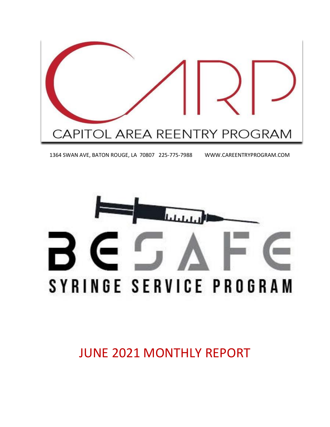

1364 SWAN AVE, BATON ROUGE, LA 70807 225-775-7988 WWW.CAREENTRYPROGRAM.COM



JUNE 2021 MONTHLY REPORT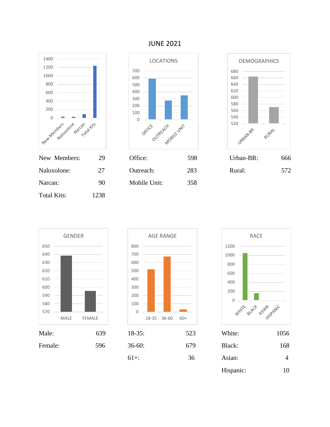

#### JUNE 2021











| Male:   | 639 | $18-35$ : | 523 | White:    | 1056           |
|---------|-----|-----------|-----|-----------|----------------|
| Female: | 596 | $36-60:$  | 679 | Black:    | 168            |
|         |     | $61+$ :   | 36  | Asian:    | $\overline{4}$ |
|         |     |           |     | Hispanic: | 10             |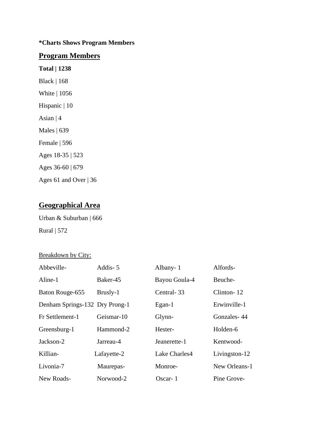### **\*Charts Shows Program Members**

### **Program Members**

**Total | 1238** Black | 168 White | 1056 Hispanic | 10 Asian  $|4$ Males | 639 Female | 596 Ages 18-35 | 523 Ages 36-60 | 679 Ages 61 and Over | 36

## **Geographical Area**

Urban & Suburban | 666 Rural | 572

#### Breakdown by City:

| Abbeville-                     | Addis-5     | Albany-1      | Alfords-      |
|--------------------------------|-------------|---------------|---------------|
| Aline-1                        | Baker-45    | Bayou Goula-4 | Beuche-       |
| Baton Rouge-655                | Brusly-1    | Central-33    | Clinton-12    |
| Denham Springs-132 Dry Prong-1 |             | $Egan-1$      | Erwinville-1  |
| Fr Settlement-1                | Geismar-10  | Glynn-        | Gonzales-44   |
| Greensburg-1                   | Hammond-2   | Hester-       | Holden-6      |
| Jackson-2                      | Jarreau-4   | Jeanerette-1  | Kentwood-     |
| Killian-                       | Lafayette-2 | Lake Charles4 | Livingston-12 |
| Livonia-7                      | Maurepas-   | Monroe-       | New Orleans-1 |
| New Roads-                     | Norwood-2   | Oscar- $1$    | Pine Grove-   |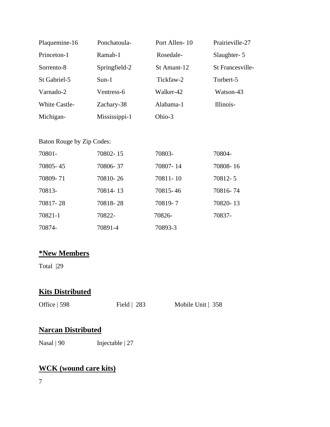| Plaquemine-16        | Ponchatoula-  | Port Allen-10 | Prairieville-27         |
|----------------------|---------------|---------------|-------------------------|
| Princeton-1          | Ramah-1       | Rosedale-     | Slaughter-5             |
| Sorrento-8           | Springfield-2 | St Amant-12   | <b>St Francesville-</b> |
| St Gabriel-5         | $Sun-1$       | Tickfaw-2     | Torbert-5               |
| Varnado-2            | Ventress-6    | Walker-42     | Watson-43               |
| <b>White Castle-</b> | Zachary-38    | Alabama-1     | Illinois-               |
| Michigan-            | Mississippi-1 | Ohio-3        |                         |

#### Baton Rouge by Zip Codes:

| 70801-   | 70802-15 | 70803-   | 70804-   |
|----------|----------|----------|----------|
| 70805-45 | 70806-37 | 70807-14 | 70808-16 |
| 70809-71 | 70810-26 | 70811-10 | 70812-5  |
| 70813-   | 70814-13 | 70815-46 | 70816-74 |
| 70817-28 | 70818-28 | 70819-7  | 70820-13 |
| 70821-1  | 70822-   | 70826-   | 70837-   |
| 70874-   | 70891-4  | 70893-3  |          |

### **\*New Members**

Total |29

# **Kits Distributed**

Office | 598 Field | 283 Mobile Unit | 358

### **Narcan Distributed**

Nasal | 90 Injectable | 27

## **WCK (wound care kits)**

7